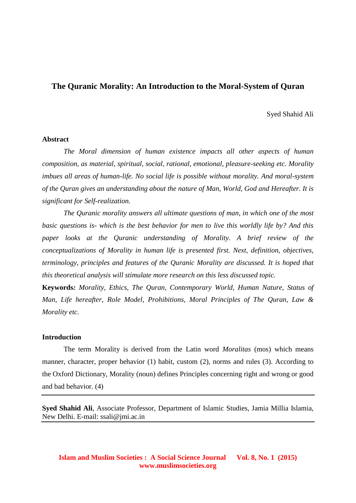# **The Quranic Morality: An Introduction to the Moral-System of Quran**

#### Syed Shahid Ali

#### **Abstract**

*The Moral dimension of human existence impacts all other aspects of human composition, as material, spiritual, social, rational, emotional, pleasure-seeking etc. Morality imbues all areas of human-life. No social life is possible without morality. And moral-system of the Quran gives an understanding about the nature of Man, World, God and Hereafter. It is significant for Self-realization.*

*The Quranic morality answers all ultimate questions of man, in which one of the most basic questions is- which is the best behavior for men to live this worldly life by? And this paper looks at the Quranic understanding of Morality. A brief review of the conceptualizations of Morality in human life is presented first. Next, definition, objectives, terminology, principles and features of the Quranic Morality are discussed. It is hoped that this theoretical analysis will stimulate more research on this less discussed topic.*

**Keywords***: Morality, Ethics, The Quran, Contemporary World, Human Nature, Status of Man, Life hereafter, Role Model, Prohibitions, Moral Principles of The Quran, Law & Morality etc.*

#### **Introduction**

The term Morality is derived from the Latin word *Moralitas* (mos) which means manner, character, proper behavior (1) habit, custom (2), norms and rules (3). According to the Oxford Dictionary, Morality (noun) defines Principles concerning right and wrong or good and bad behavior. (4)

**Syed Shahid Ali**, Associate Professor, Department of Islamic Studies, Jamia Millia Islamia, New Delhi. E-mail: ssali@jmi.ac.in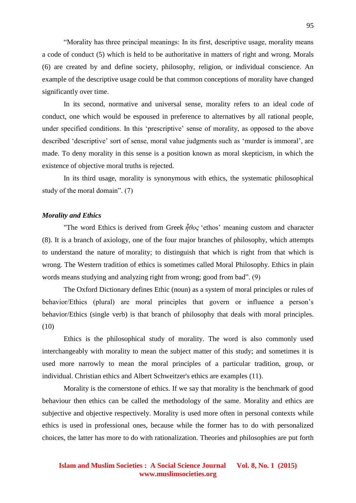"Morality has three principal meanings: In its first, descriptive usage, morality means a code of conduct (5) which is held to be authoritative in matters of right and wrong. Morals (6) are created by and define society, philosophy, religion, or individual conscience. An example of the descriptive usage could be that common conceptions of morality have changed significantly over time.

In its second, normative and universal sense, morality refers to an ideal code of conduct, one which would be espoused in preference to alternatives by all rational people, under specified conditions. In this 'prescriptive' sense of morality, as opposed to the above described 'descriptive' sort of sense, moral value judgments such as 'murder is immoral', are made. To deny morality in this sense is a position known as moral skepticism, in which the existence of objective moral truths is rejected.

In its third usage, morality is synonymous with ethics, the systematic philosophical study of the moral domain". (7)

#### *Morality and Ethics*

"The word Ethics is derived from Greek *ἦθος* 'ethos' meaning custom and character (8). It is a branch of axiology, one of the four major branches of philosophy, which attempts to understand the nature of morality; to distinguish that which is right from that which is wrong. The Western tradition of ethics is sometimes called Moral Philosophy. Ethics in plain words means studying and analyzing right from wrong; good from bad". (9)

The Oxford Dictionary defines Ethic (noun) as a system of moral principles or rules of behavior/Ethics (plural) are moral principles that govern or influence a person's behavior/Ethics (single verb) is that branch of philosophy that deals with moral principles. (10)

Ethics is the philosophical study of morality. The word is also commonly used interchangeably with morality to mean the subject matter of this study; and sometimes it is used more narrowly to mean the moral principles of a particular tradition, group, or individual. Christian ethics and Albert Schweitzer's ethics are examples (11).

Morality is the cornerstone of ethics. If we say that morality is the benchmark of good behaviour then ethics can be called the methodology of the same. Morality and ethics are subjective and objective respectively. Morality is used more often in personal contexts while ethics is used in professional ones, because while the former has to do with personalized choices, the latter has more to do with rationalization. Theories and philosophies are put forth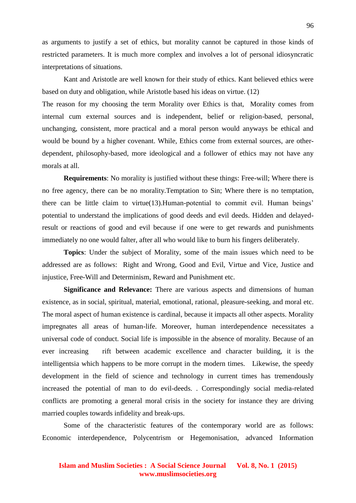as arguments to justify a set of ethics, but morality cannot be captured in those kinds of restricted parameters. It is much more complex and involves a lot of personal idiosyncratic interpretations of situations.

Kant and Aristotle are well known for their study of ethics. Kant believed ethics were based on duty and obligation, while Aristotle based his ideas on virtue. (12)

The reason for my choosing the term Morality over Ethics is that, Morality comes from internal cum external sources and is independent, belief or religion-based, personal, unchanging, consistent, more practical and a moral person would anyways be ethical and would be bound by a higher covenant. While, Ethics come from external sources, are otherdependent, philosophy-based, more ideological and a follower of ethics may not have any morals at all.

**Requirements**: No morality is justified without these things: Free-will; Where there is no free agency, there can be no morality.Temptation to Sin; Where there is no temptation, there can be little claim to virtue(13).Human-potential to commit evil. Human beings' potential to understand the implications of good deeds and evil deeds. Hidden and delayedresult or reactions of good and evil because if one were to get rewards and punishments immediately no one would falter, after all who would like to burn his fingers deliberately.

**Topics**: Under the subject of Morality, some of the main issues which need to be addressed are as follows: Right and Wrong, Good and Evil, Virtue and Vice, Justice and injustice, Free-Will and Determinism, Reward and Punishment etc.

**Significance and Relevance:** There are various aspects and dimensions of human existence, as in social, spiritual, material, emotional, rational, pleasure-seeking, and moral etc. The moral aspect of human existence is cardinal, because it impacts all other aspects. Morality impregnates all areas of human-life. Moreover, human interdependence necessitates a universal code of conduct. Social life is impossible in the absence of morality. Because of an ever increasing rift between academic excellence and character building, it is the intelligentsia which happens to be more corrupt in the modern times. Likewise, the speedy development in the field of science and technology in current times has tremendously increased the potential of man to do evil-deeds. . Correspondingly social media-related conflicts are promoting a general moral crisis in the society for instance they are driving married couples towards infidelity and break-ups.

Some of the characteristic features of the contemporary world are as follows: Economic interdependence, Polycentrism or Hegemonisation, advanced Information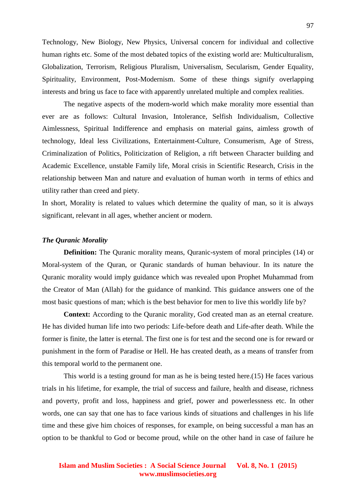Technology, New Biology, New Physics, Universal concern for individual and collective human rights etc. Some of the most debated topics of the existing world are: Multiculturalism, Globalization, Terrorism, Religious Pluralism, Universalism, Secularism, Gender Equality, Spirituality, Environment, Post-Modernism. Some of these things signify overlapping interests and bring us face to face with apparently unrelated multiple and complex realities.

The negative aspects of the modern-world which make morality more essential than ever are as follows: Cultural Invasion, Intolerance, Selfish Individualism, Collective Aimlessness, Spiritual Indifference and emphasis on material gains, aimless growth of technology, Ideal less Civilizations, Entertainment-Culture, Consumerism, Age of Stress, Criminalization of Politics, Politicization of Religion, a rift between Character building and Academic Excellence, unstable Family life, Moral crisis in Scientific Research, Crisis in the relationship between Man and nature and evaluation of human worth in terms of ethics and utility rather than creed and piety.

In short, Morality is related to values which determine the quality of man, so it is always significant, relevant in all ages, whether ancient or modern.

### *The Quranic Morality*

**Definition:** The Quranic morality means, Quranic-system of moral principles (14) or Moral-system of the Quran, or Quranic standards of human behaviour. In its nature the Quranic morality would imply guidance which was revealed upon Prophet Muhammad from the Creator of Man (Allah) for the guidance of mankind. This guidance answers one of the most basic questions of man; which is the best behavior for men to live this worldly life by?

**Context:** According to the Quranic morality, God created man as an eternal creature. He has divided human life into two periods: Life-before death and Life-after death. While the former is finite, the latter is eternal. The first one is for test and the second one is for reward or punishment in the form of Paradise or Hell. He has created death, as a means of transfer from this temporal world to the permanent one.

This world is a testing ground for man as he is being tested here.(15) He faces various trials in his lifetime, for example, the trial of success and failure, health and disease, richness and poverty, profit and loss, happiness and grief, power and powerlessness etc. In other words, one can say that one has to face various kinds of situations and challenges in his life time and these give him choices of responses, for example, on being successful a man has an option to be thankful to God or become proud, while on the other hand in case of failure he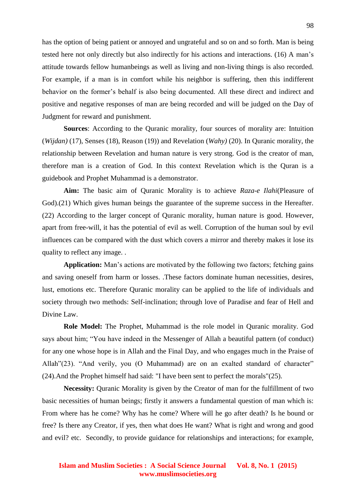has the option of being patient or annoyed and ungrateful and so on and so forth. Man is being tested here not only directly but also indirectly for his actions and interactions. (16) A man's attitude towards fellow humanbeings as well as living and non-living things is also recorded. For example, if a man is in comfort while his neighbor is suffering, then this indifferent behavior on the former's behalf is also being documented. All these direct and indirect and positive and negative responses of man are being recorded and will be judged on the Day of Judgment for reward and punishment.

**Sources**: According to the Quranic morality, four sources of morality are: Intuition (*Wijdan)* (17), Senses (18), Reason (19)) and Revelation (*Wahy)* (20). In Quranic morality, the relationship between Revelation and human nature is very strong. God is the creator of man, therefore man is a creation of God. In this context Revelation which is the Quran is a guidebook and Prophet Muhammad is a demonstrator.

**Aim:** The basic aim of Quranic Morality is to achieve *Raza-e Ilahi*(Pleasure of God).(21) Which gives human beings the guarantee of the supreme success in the Hereafter. (22) According to the larger concept of Quranic morality, human nature is good. However, apart from free-will, it has the potential of evil as well. Corruption of the human soul by evil influences can be compared with the dust which covers a mirror and thereby makes it lose its quality to reflect any image. .

**Application:** Man's actions are motivated by the following two factors; fetching gains and saving oneself from harm or losses. .These factors dominate human necessities, desires, lust, emotions etc. Therefore Quranic morality can be applied to the life of individuals and society through two methods: Self-inclination; through love of Paradise and fear of Hell and Divine Law.

**Role Model:** The Prophet, Muhammad is the role model in Quranic morality. God says about him; "You have indeed in the Messenger of Allah a beautiful pattern (of conduct) for any one whose hope is in Allah and the Final Day, and who engages much in the Praise of Allah"(23). "And verily, you (O Muhammad) are on an exalted standard of character" (24).And the Prophet himself had said: "I have been sent to perfect the morals"(25).

**Necessity:** Quranic Morality is given by the Creator of man for the fulfillment of two basic necessities of human beings; firstly it answers a fundamental question of man which is: From where has he come? Why has he come? Where will he go after death? Is he bound or free? Is there any Creator, if yes, then what does He want? What is right and wrong and good and evil? etc. Secondly, to provide guidance for relationships and interactions; for example,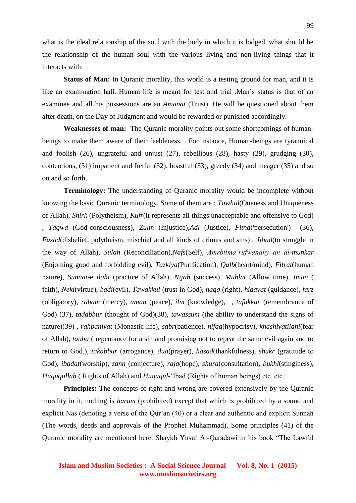what is the ideal relationship of the soul with the body in which it is lodged, what should be the relationship of the human soul with the various living and non-living things that it interacts with.

**Status of Man:** In Quranic morality, this world is a testing ground for man, and it is like an examination hall. Human life is meant for test and trial .Man's status is that of an examinee and all his possessions are an *Amanat* (Trust). He will be questioned about them after death, on the Day of Judgment and would be rewarded or punished accordingly.

**Weaknesses of man:** The Quranic morality points out some shortcomings of humanbeings to make them aware of their feebleness. . For instance, Human-beings are tyrannical and foolish (26), ungrateful and unjust (27), rebellious (28), hasty (29), grudging (30), contentious, (31) impatient and fretful (32), boastful (33), greedy (34) and meager (35) and so on and so forth.

**Terminology:** The understanding of Quranic morality would be incomplete without knowing the basic Quranic terminology. Some of them are : *Tawhid*(Oneness and Uniqueness of Allah), *Shirk* (Polytheism), *Kufr*(it represents all things unacceptable and offensive to God) , *Taqwa* (God-consciousness), *Zulm* (Injustice),*Adl* (Justice), *Fitna*('persecution') (36), *Fasad*(disbelief, polytheism, mischief and all kinds of crimes and sins) , *Jihad*(to struggle in the way of Allah), *Sulah* (Reconciliation),*Nafs*(Self), *Amrbilma'rufwanahy an al-munkar* (Enjoining good and forbidding evil), *Tazkiya*(Purification), *Qalb*(heart/mind), *Fitrat*(human nature), *Sunnat*-e *ilahi* (practice of Allah), *Nijah* (success), *Muhlat* (Allow time), *Iman* ( faith), *Neki*(virtue), *badi*(evil), *Tawakkul* (trust in God), *haqq* (right), *hidayat* (guidance), *farz*  (obligatory), *raham* (mercy), *aman* (peace), *ilm* (knowledge), , *tafakkur* (remembrance of God) (37), *tadabbur* (thought of God)(38), *tawassum* (the ability to understand the signs of nature)(39) , *rahbaniyat* (Monastic life), *sabr*(patience), *nifaq*(hypocrisy), *khashiyatilahi*(fear of Allah), *tauba* ( repentance for a sin and promising not to repeat the same evil again and to return to God.), *takabbur* (arrogance), *dua*(prayer), *hasad*(thankfulness), *shukr* (gratitude to God), *ibadat*(worship), *zann* (conjecture), *raja*(hope), *shura*(consultation), *bukhl*(stinginess), *Huququllah* ( Rights of Allah) and *Huququl*-'Ibad (Rights of human beings) etc. etc.

**Principles:** The concepts of right and wrong are covered extensively by the Quranic morality in it, nothing is *haram* (prohibited) except that which is prohibited by a sound and explicit Nas (denoting a verse of the Qur'an (40) or a clear and authentic and explicit Sunnah (The words, deeds and approvals of the Prophet Muhammad). Some principles (41) of the Quranic morality are mentioned here. Shaykh Yusuf Al-Qaradawi in his book "The Lawful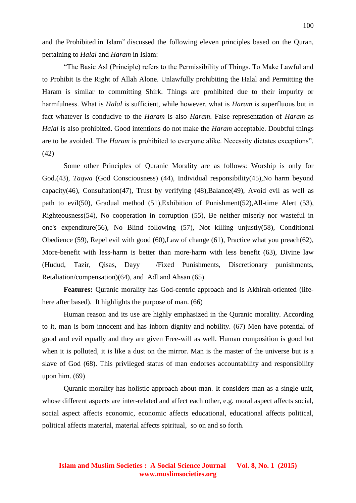and the Prohibited in Islam" discussed the following eleven principles based on the Quran, pertaining to *Halal* and *Haram* in Islam:

"The Basic Asl (Principle) refers to the Permissibility of Things. To Make Lawful and to Prohibit Is the Right of Allah Alone. Unlawfully prohibiting the Halal and Permitting the Haram is similar to committing Shirk. Things are prohibited due to their impurity or harmfulness. What is *Halal* is sufficient, while however, what is *Haram* is superfluous but in fact whatever is conducive to the *Haram* Is also *Haram*. False representation of *Haram* as *Halal* is also prohibited. Good intentions do not make the *Haram* acceptable. Doubtful things are to be avoided. The *Haram* is prohibited to everyone alike. Necessity dictates exceptions". (42)

Some other Principles of Quranic Morality are as follows: Worship is only for God.(43), *Taqwa* (God Consciousness) (44), Individual responsibility(45), No harm beyond capacity(46), Consultation(47), Trust by verifying (48), Balance(49), Avoid evil as well as path to evil(50), Gradual method (51),Exhibition of Punishment(52),All-time Alert (53), Righteousness(54), No cooperation in corruption (55), Be neither miserly nor wasteful in one's expenditure(56), No Blind following (57), Not killing unjustly(58), Conditional Obedience (59), Repel evil with good (60),Law of change (61), Practice what you preach(62), More-benefit with less-harm is better than more-harm with less benefit (63), Divine law (Hudud, Tazir, Qisas, Dayy /Fixed Punishments, Discretionary punishments, Retaliation/compensation)(64), and Adl and Ahsan (65).

**Features:** Quranic morality has God-centric approach and is Akhirah-oriented (lifehere after based). It highlights the purpose of man. (66)

Human reason and its use are highly emphasized in the Quranic morality. According to it, man is born innocent and has inborn dignity and nobility. (67) Men have potential of good and evil equally and they are given Free-will as well. Human composition is good but when it is polluted, it is like a dust on the mirror. Man is the master of the universe but is a slave of God (68). This privileged status of man endorses accountability and responsibility upon him. (69)

Quranic morality has holistic approach about man. It considers man as a single unit, whose different aspects are inter-related and affect each other, e.g. moral aspect affects social, social aspect affects economic, economic affects educational, educational affects political, political affects material, material affects spiritual, so on and so forth.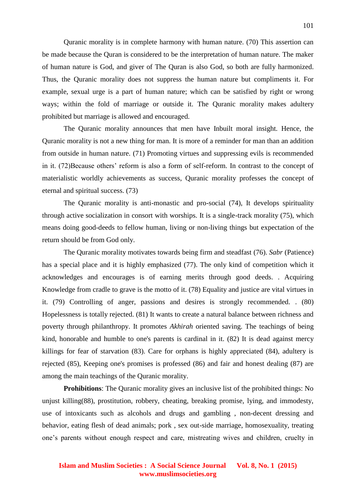Quranic morality is in complete harmony with human nature. (70) This assertion can be made because the Quran is considered to be the interpretation of human nature. The maker of human nature is God, and giver of The Quran is also God, so both are fully harmonized. Thus, the Quranic morality does not suppress the human nature but compliments it. For example, sexual urge is a part of human nature; which can be satisfied by right or wrong ways; within the fold of marriage or outside it. The Quranic morality makes adultery prohibited but marriage is allowed and encouraged.

The Quranic morality announces that men have Inbuilt moral insight. Hence, the Quranic morality is not a new thing for man. It is more of a reminder for man than an addition from outside in human nature. (71) Promoting virtues and suppressing evils is recommended in it. (72)Because others' reform is also a form of self-reform. In contrast to the concept of materialistic worldly achievements as success, Quranic morality professes the concept of eternal and spiritual success. (73)

The Quranic morality is anti-monastic and pro-social (74), It develops spirituality through active socialization in consort with worships. It is a single-track morality (75), which means doing good-deeds to fellow human, living or non-living things but expectation of the return should be from God only.

The Quranic morality motivates towards being firm and steadfast (76). *Sabr* (Patience) has a special place and it is highly emphasized (77). The only kind of competition which it acknowledges and encourages is of earning merits through good deeds. . Acquiring Knowledge from cradle to grave is the motto of it. (78) Equality and justice are vital virtues in it. (79) Controlling of anger, passions and desires is strongly recommended. . (80) Hopelessness is totally rejected. (81) It wants to create a natural balance between richness and poverty through philanthropy. It promotes *Akhirah* oriented saving. The teachings of being kind, honorable and humble to one's parents is cardinal in it. (82) It is dead against mercy killings for fear of starvation (83). Care for orphans is highly appreciated (84), adultery is rejected (85), Keeping one's promises is professed (86) and fair and honest dealing (87) are among the main teachings of the Quranic morality.

**Prohibitions**: The Quranic morality gives an inclusive list of the prohibited things: No unjust killing(88), prostitution, robbery, cheating, breaking promise, lying, and immodesty, use of intoxicants such as alcohols and drugs and gambling , non-decent dressing and behavior, eating flesh of dead animals; pork , sex out-side marriage, homosexuality, treating one's parents without enough respect and care, mistreating wives and children, cruelty in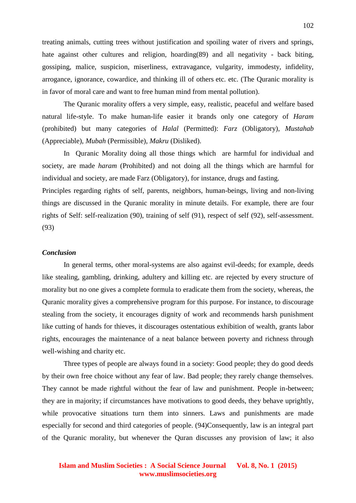treating animals, cutting trees without justification and spoiling water of rivers and springs, hate against other cultures and religion, hoarding(89) and all negativity - back biting, gossiping, malice, suspicion, miserliness, extravagance, vulgarity, immodesty, infidelity, arrogance, ignorance, cowardice, and thinking ill of others etc. etc. (The Quranic morality is in favor of moral care and want to free human mind from mental pollution).

The Quranic morality offers a very simple, easy, realistic, peaceful and welfare based natural life-style. To make human-life easier it brands only one category of *Haram* (prohibited) but many categories of *Halal* (Permitted): *Farz* (Obligatory), *Mustahab* (Appreciable), *Mubah* (Permissible), *Makru* (Disliked).

In Quranic Morality doing all those things which are harmful for individual and society, are made *haram* (Prohibited) and not doing all the things which are harmful for individual and society, are made Farz (Obligatory), for instance, drugs and fasting.

Principles regarding rights of self, parents, neighbors, human-beings, living and non-living things are discussed in the Quranic morality in minute details. For example, there are four rights of Self: self-realization (90), training of self (91), respect of self (92), self-assessment. (93)

### *Conclusion*

In general terms, other moral-systems are also against evil-deeds; for example, deeds like stealing, gambling, drinking, adultery and killing etc. are rejected by every structure of morality but no one gives a complete formula to eradicate them from the society, whereas, the Quranic morality gives a comprehensive program for this purpose. For instance, to discourage stealing from the society, it encourages dignity of work and recommends harsh punishment like cutting of hands for thieves, it discourages ostentatious exhibition of wealth, grants labor rights, encourages the maintenance of a neat balance between poverty and richness through well-wishing and charity etc.

Three types of people are always found in a society: Good people; they do good deeds by their own free choice without any fear of law. Bad people; they rarely change themselves. They cannot be made rightful without the fear of law and punishment. People in-between; they are in majority; if circumstances have motivations to good deeds, they behave uprightly, while provocative situations turn them into sinners. Laws and punishments are made especially for second and third categories of people. (94)Consequently, law is an integral part of the Quranic morality, but whenever the Quran discusses any provision of law; it also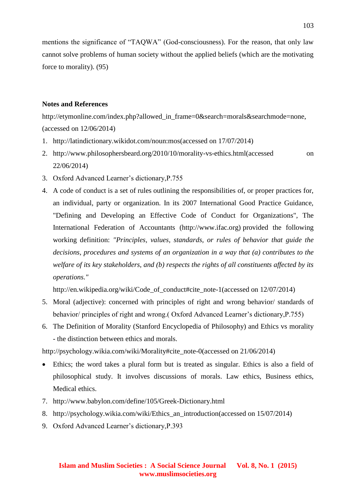mentions the significance of "TAQWA" (God-consciousness). For the reason, that only law cannot solve problems of human society without the applied beliefs (which are the motivating force to morality). (95)

## **Notes and References**

http://etymonline.com/index.php?allowed\_in\_frame=0&search=morals&searchmode=none, (accessed on 12/06/2014)

- 1. http://latindictionary.wikidot.com/noun:mos(accessed on 17/07/2014)
- 2. http://www.philosophersbeard.org/2010/10/morality-vs-ethics.html(accessed on 22/06/2014)
- 3. Oxford Advanced Learner's dictionary,P.755
- 4. A code of conduct is a set of rules outlining the responsibilities of, or proper practices for, an individual, party or organization. In its 2007 International Good Practice Guidance, "Defining and Developing an Effective Code of Conduct for Organizations", The International Federation of Accountants (http://www.ifac.org) provided the following working definition: *"Principles, values, standards, or rules of behavior that guide the decisions, procedures and systems of an organization in a way that (a) contributes to the welfare of its key stakeholders, and (b) respects the rights of all constituents affected by its operations."*

http://en.wikipedia.org/wiki/Code\_of\_conduct#cite\_note-1(accessed on 12/07/2014)

- 5. Moral (adjective): concerned with principles of right and wrong behavior/ standards of behavior/ principles of right and wrong.( Oxford Advanced Learner's dictionary,P.755)
- 6. The Definition of Morality (Stanford Encyclopedia of Philosophy) and Ethics vs morality - the distinction between ethics and morals.

http://psychology.wikia.com/wiki/Morality#cite\_note-0(accessed on 21/06/2014)

- Ethics; the word takes a plural form but is treated as singular. Ethics is also a field of philosophical study. It involves discussions of morals. Law ethics, Business ethics, Medical ethics.
- 7. http://www.babylon.com/define/105/Greek-Dictionary.html
- 8. http://psychology.wikia.com/wiki/Ethics\_an\_introduction(accessed on 15/07/2014)
- 9. Oxford Advanced Learner's dictionary,P.393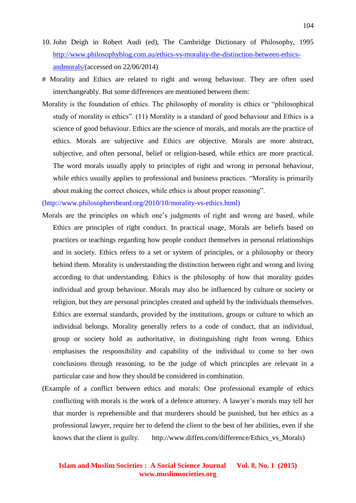- 10. John Deigh in Robert Audi (ed), The Cambridge Dictionary of Philosophy, 1995 [http://www.philosophyblog.com.au/ethics-vs-morality-the-distinction-between-ethics](http://www.philosophyblog.com.au/ethics-vs-morality-the-distinction-between-ethics-andmorals/)[andmorals/\(](http://www.philosophyblog.com.au/ethics-vs-morality-the-distinction-between-ethics-andmorals/)accessed on 22/06/2014)
- # Morality and Ethics are related to right and wrong behaviour. They are often used interchangeably. But some differences are mentioned between them:
- Morality is the foundation of ethics. The philosophy of morality is ethics or "philosophical study of morality is ethics". (11) Morality is a standard of good behaviour and Ethics is a science of good behaviour. Ethics are the science of morals, and morals are the practice of ethics. Morals are subjective and Ethics are objective. Morals are more abstract, subjective, and often personal, belief or religion-based, while ethics are more practical. The word morals usually apply to principles of right and wrong in personal behaviour, while ethics usually applies to professional and business practices. "Morality is primarily about making the correct choices, while ethics is about proper reasoning".

(http://www.philosophersbeard.org/2010/10/morality-vs-ethics.html)

- Morals are the principles on which one's judgments of right and wrong are based, while Ethics are principles of right conduct. In practical usage, Morals are beliefs based on practices or teachings regarding how people conduct themselves in personal relationships and in society. Ethics refers to a set or system of principles, or a philosophy or theory behind them. Morality is understanding the distinction between right and wrong and living according to that understanding. Ethics is the philosophy of how that morality guides individual and group behaviour. Morals may also be influenced by culture or society or religion, but they are personal principles created and upheld by the individuals themselves. Ethics are external standards, provided by the institutions, groups or culture to which an individual belongs. Morality generally refers to a code of conduct, that an individual, group or society hold as authoritative, in distinguishing right from wrong. Ethics emphasises the responsibility and capability of the individual to come to her own conclusions through reasoning, to be the judge of which principles are relevant in a particular case and how they should be considered in combination.
- (Example of a conflict between ethics and morals: One professional example of ethics conflicting with morals is the work of a defence attorney. A lawyer's morals may tell her that murder is reprehensible and that murderers should be punished, but her ethics as a professional lawyer, require her to defend the client to the best of her abilities, even if she knows that the client is guilty. http://www.diffen.com/difference/Ethics\_vs\_Morals)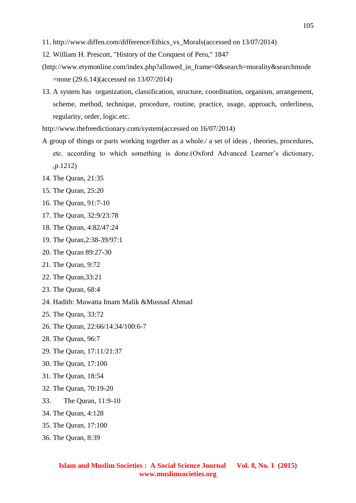- 11. http://www.diffen.com/difference/Ethics\_vs\_Morals(accessed on 13/07/2014)
- 12. William H. Prescott, "History of the Conquest of Peru," 1847
- (http://www.etymonline.com/index.php?allowed\_in\_frame=0&search=morality&searchmode =none (29.6.14)(accessed on 13/07/2014)
- 13. A system has organization, classification, structure, coordination, organism, arrangement, scheme, method, technique, procedure, routine, practice, usage, approach, orderliness, regularity, order, logic.etc.
- http://www.thefreedictionary.com/system(accessed on 16/07/2014)
- A group of things or parts working together as a whole./ a set of ideas , theories, procedures, etc. according to which something is done.(Oxford Advanced Learner's dictionary, ,p.1212)
- 14. The Quran, 21:35
- 15. The Quran, 25:20
- 16. The Quran, 91:7-10
- 17. The Quran, 32:9/23:78
- 18. The Quran, 4:82/47:24
- 19. The Quran,2:38-39/97:1
- 20. The Quran 89:27-30
- 21. The Quran, 9:72
- 22. The Quran,33:21
- 23. The Quran, 68:4
- 24. Hadith: Muwatta Imam Malik &Musnad Ahmad
- 25. The Quran, 33:72
- 26. The Quran, 22:66/14:34/100:6-7
- 28. The Quran, 96:7
- 29. The Quran, 17:11/21:37
- 30. The Quran, 17:100
- 31. The Quran, 18:54
- 32. The Quran, 70:19-20
- 33. The Quran, 11:9-10
- 34. The Quran, 4:128
- 35. The Quran, 17:100
- 36. The Quran, 8:39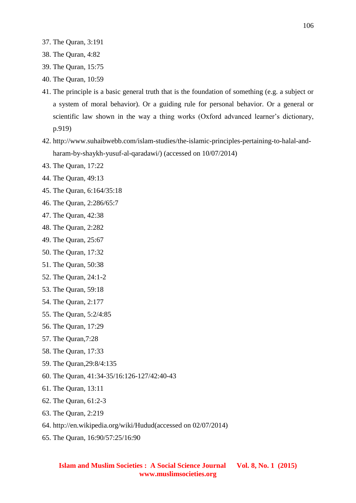- 37. The Quran, 3:191
- 38. The Quran, 4:82
- 39. The Quran, 15:75
- 40. The Quran, 10:59
- 41. The principle is a basic general truth that is the foundation of something (e.g. a subject or a system of moral behavior). Or a guiding rule for personal behavior. Or a general or scientific law shown in the way a thing works (Oxford advanced learner's dictionary, p.919)
- 42. http://www.suhaibwebb.com/islam-studies/the-islamic-principles-pertaining-to-halal-andharam-by-shaykh-yusuf-al-qaradawi/) (accessed on 10/07/2014)
- 43. The Quran, 17:22
- 44. The Quran, 49:13
- 45. The Quran, 6:164/35:18
- 46. The Quran, 2:286/65:7
- 47. The Quran, 42:38
- 48. The Quran, 2:282
- 49. The Quran, 25:67
- 50. The Quran, 17:32
- 51. The Quran, 50:38
- 52. The Quran, 24:1-2
- 53. The Quran, 59:18
- 54. The Quran, 2:177
- 55. The Quran, 5:2/4:85
- 56. The Quran, 17:29
- 57. The Quran,7:28
- 58. The Quran, 17:33
- 59. The Quran,29:8/4:135
- 60. The Quran, 41:34-35/16:126-127/42:40-43
- 61. The Quran, 13:11
- 62. The Quran, 61:2-3
- 63. The Quran, 2:219
- 64. http://en.wikipedia.org/wiki/Hudud(accessed on 02/07/2014)
- 65. The Quran, 16:90/57:25/16:90

**Islam and Muslim Societies : A Social Science Journal Vol. 8, No. 1 (2015) www.muslimsocieties.org**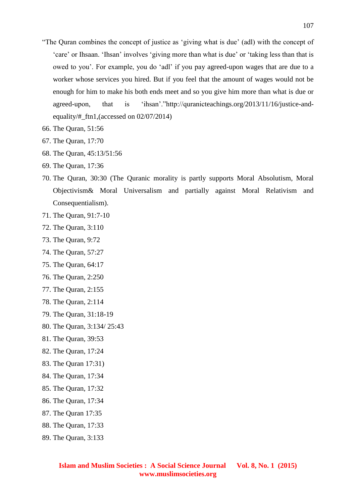- "The Quran combines the concept of justice as 'giving what is due' (adl) with the concept of 'care' or Ihsaan. 'Ihsan' involves 'giving more than what is due' or 'taking less than that is owed to you'. For example, you do 'adl' if you pay agreed-upon wages that are due to a worker whose services you hired. But if you feel that the amount of wages would not be enough for him to make his both ends meet and so you give him more than what is due or agreed-upon, that is 'ihsan'."http://quranicteachings.org/2013/11/16/justice-andequality/#\_ftn1,(accessed on 02/07/2014)
- 66. The Quran, 51:56
- 67. The Quran, 17:70
- 68. The Quran, 45:13/51:56
- 69. The Quran, 17:36
- 70. The Quran, 30:30 (The Quranic morality is partly supports Moral Absolutism, Moral Objectivism& Moral Universalism and partially against Moral Relativism and Consequentialism).
- 71. The Quran, 91:7-10
- 72. The Quran, 3:110
- 73. The Quran, 9:72
- 74. The Quran, 57:27
- 75. The Quran, 64:17
- 76. The Quran, 2:250
- 77. The Quran, 2:155
- 78. The Quran, 2:114
- 79. The Quran, 31:18-19
- 80. The Quran, 3:134/ 25:43
- 81. The Quran, 39:53
- 82. The Quran, 17:24
- 83. The Quran 17:31)
- 84. The Quran, 17:34
- 85. The Quran, 17:32
- 86. The Quran, 17:34
- 87. The Quran 17:35
- 88. The Quran, 17:33
- 89. The Quran, 3:133